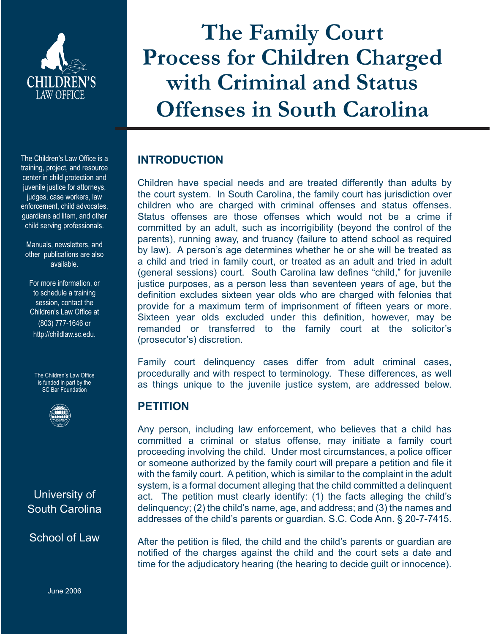

The Children's Law Office is a training, project, and resource center in child protection and juvenile justice for attorneys, judges, case workers, law enforcement, child advocates, guardians ad litem, and other child serving professionals.

Manuals, newsletters, and other publications are also available.

For more information, or to schedule a training session, contact the Children's Law Office at (803) 777-1646 or http://childlaw.sc.edu.

The Children's Law Office is funded in part by the SC Bar Foundation



# University of South Carolina

School of Law

June 2006

**The Family Court Process for Children Charged with Criminal and Status Offenses in South Carolina**

# **INTRODUCTION**

Children have special needs and are treated differently than adults by the court system. In South Carolina, the family court has jurisdiction over children who are charged with criminal offenses and status offenses. Status offenses are those offenses which would not be a crime if committed by an adult, such as incorrigibility (beyond the control of the parents), running away, and truancy (failure to attend school as required by law). A person's age determines whether he or she will be treated as a child and tried in family court, or treated as an adult and tried in adult (general sessions) court. South Carolina law defines "child," for juvenile justice purposes, as a person less than seventeen years of age, but the definition excludes sixteen year olds who are charged with felonies that provide for a maximum term of imprisonment of fifteen years or more. Sixteen year olds excluded under this definition, however, may be remanded or transferred to the family court at the solicitor's (prosecutor's) discretion.

Family court delinquency cases differ from adult criminal cases, procedurally and with respect to terminology. These differences, as well as things unique to the juvenile justice system, are addressed below.

# **PETITION**

Any person, including law enforcement, who believes that a child has committed a criminal or status offense, may initiate a family court proceeding involving the child. Under most circumstances, a police officer or someone authorized by the family court will prepare a petition and file it with the family court. A petition, which is similar to the complaint in the adult system, is a formal document alleging that the child committed a delinquent act. The petition must clearly identify: (1) the facts alleging the child's delinquency; (2) the child's name, age, and address; and (3) the names and addresses of the child's parents or guardian. S.C. Code Ann. § 20-7-7415.

After the petition is filed, the child and the child's parents or guardian are notified of the charges against the child and the court sets a date and time for the adjudicatory hearing (the hearing to decide guilt or innocence).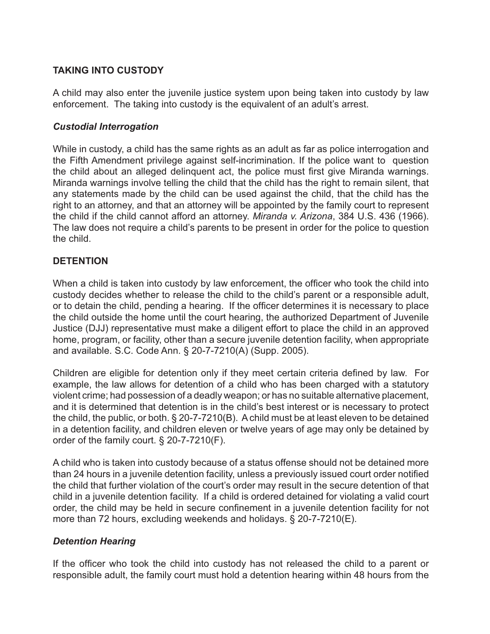# **TAKING INTO CUSTODY**

A child may also enter the juvenile justice system upon being taken into custody by law enforcement. The taking into custody is the equivalent of an adult's arrest.

#### *Custodial Interrogation*

While in custody, a child has the same rights as an adult as far as police interrogation and the Fifth Amendment privilege against self-incrimination. If the police want to question the child about an alleged delinquent act, the police must first give Miranda warnings. Miranda warnings involve telling the child that the child has the right to remain silent, that any statements made by the child can be used against the child, that the child has the right to an attorney, and that an attorney will be appointed by the family court to represent the child if the child cannot afford an attorney. *Miranda v. Arizona*, 384 U.S. 436 (1966). The law does not require a child's parents to be present in order for the police to question the child.

# **DETENTION**

When a child is taken into custody by law enforcement, the officer who took the child into custody decides whether to release the child to the child's parent or a responsible adult, or to detain the child, pending a hearing. If the officer determines it is necessary to place the child outside the home until the court hearing, the authorized Department of Juvenile Justice (DJJ) representative must make a diligent effort to place the child in an approved home, program, or facility, other than a secure juvenile detention facility, when appropriate and available. S.C. Code Ann. § 20-7-7210(A) (Supp. 2005).

Children are eligible for detention only if they meet certain criteria defined by law. For example, the law allows for detention of a child who has been charged with a statutory violent crime; had possession of a deadly weapon; or has no suitable alternative placement, and it is determined that detention is in the child's best interest or is necessary to protect the child, the public, or both. § 20-7-7210(B). A child must be at least eleven to be detained in a detention facility, and children eleven or twelve years of age may only be detained by order of the family court. § 20-7-7210(F).

A child who is taken into custody because of a status offense should not be detained more than 24 hours in a juvenile detention facility, unless a previously issued court order notified the child that further violation of the court's order may result in the secure detention of that child in a juvenile detention facility. If a child is ordered detained for violating a valid court order, the child may be held in secure confinement in a juvenile detention facility for not more than 72 hours, excluding weekends and holidays. § 20-7-7210(E).

## *Detention Hearing*

If the officer who took the child into custody has not released the child to a parent or responsible adult, the family court must hold a detention hearing within 48 hours from the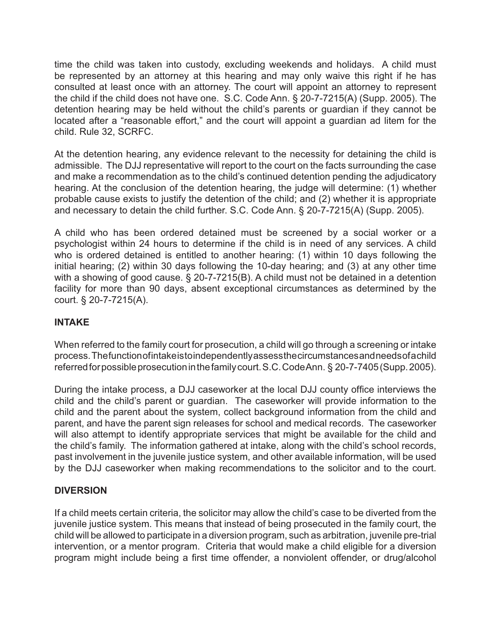time the child was taken into custody, excluding weekends and holidays. A child must be represented by an attorney at this hearing and may only waive this right if he has consulted at least once with an attorney. The court will appoint an attorney to represent the child if the child does not have one. S.C. Code Ann. § 20-7-7215(A) (Supp. 2005). The detention hearing may be held without the child's parents or guardian if they cannot be located after a "reasonable effort," and the court will appoint a guardian ad litem for the child. Rule 32, SCRFC.

At the detention hearing, any evidence relevant to the necessity for detaining the child is admissible. The DJJ representative will report to the court on the facts surrounding the case and make a recommendation as to the child's continued detention pending the adjudicatory hearing. At the conclusion of the detention hearing, the judge will determine: (1) whether probable cause exists to justify the detention of the child; and (2) whether it is appropriate and necessary to detain the child further. S.C. Code Ann. § 20-7-7215(A) (Supp. 2005).

A child who has been ordered detained must be screened by a social worker or a psychologist within 24 hours to determine if the child is in need of any services. A child who is ordered detained is entitled to another hearing: (1) within 10 days following the initial hearing; (2) within 30 days following the 10-day hearing; and (3) at any other time with a showing of good cause. § 20-7-7215(B). A child must not be detained in a detention facility for more than 90 days, absent exceptional circumstances as determined by the court. § 20-7-7215(A).

## **INTAKE**

When referred to the family court for prosecution, a child will go through a screening or intake process. The function of intake is to independently assess the circumstances and needs of a child referred for possible prosecution in the family court. S.C. Code Ann. § 20-7-7405 (Supp. 2005).

During the intake process, a DJJ caseworker at the local DJJ county office interviews the child and the child's parent or guardian. The caseworker will provide information to the child and the parent about the system, collect background information from the child and parent, and have the parent sign releases for school and medical records. The caseworker will also attempt to identify appropriate services that might be available for the child and the child's family. The information gathered at intake, along with the child's school records, past involvement in the juvenile justice system, and other available information, will be used by the DJJ caseworker when making recommendations to the solicitor and to the court.

# **DIVERSION**

If a child meets certain criteria, the solicitor may allow the child's case to be diverted from the juvenile justice system. This means that instead of being prosecuted in the family court, the child will be allowed to participate in a diversion program, such as arbitration, juvenile pre-trial intervention, or a mentor program. Criteria that would make a child eligible for a diversion program might include being a first time offender, a nonviolent offender, or drug/alcohol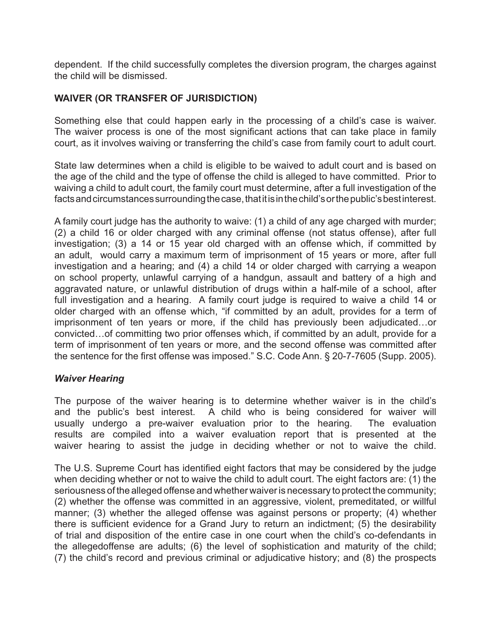dependent. If the child successfully completes the diversion program, the charges against the child will be dismissed.

### **WAIVER (OR TRANSFER OF JURISDICTION)**

Something else that could happen early in the processing of a child's case is waiver. The waiver process is one of the most significant actions that can take place in family court, as it involves waiving or transferring the child's case from family court to adult court.

State law determines when a child is eligible to be waived to adult court and is based on the age of the child and the type of offense the child is alleged to have committed. Prior to waiving a child to adult court, the family court must determine, after a full investigation of the facts and circumstances surrounding the case, that it is in the child's or the public's best interest.

A family court judge has the authority to waive: (1) a child of any age charged with murder; (2) a child 16 or older charged with any criminal offense (not status offense), after full investigation; (3) a 14 or 15 year old charged with an offense which, if committed by an adult, would carry a maximum term of imprisonment of 15 years or more, after full investigation and a hearing; and (4) a child 14 or older charged with carrying a weapon on school property, unlawful carrying of a handgun, assault and battery of a high and aggravated nature, or unlawful distribution of drugs within a half-mile of a school, after full investigation and a hearing. A family court judge is required to waive a child 14 or older charged with an offense which, "if committed by an adult, provides for a term of imprisonment of ten years or more, if the child has previously been adjudicated…or convicted…of committing two prior offenses which, if committed by an adult, provide for a term of imprisonment of ten years or more, and the second offense was committed after the sentence for the first offense was imposed." S.C. Code Ann. § 20-7-7605 (Supp. 2005).

#### *Waiver Hearing*

The purpose of the waiver hearing is to determine whether waiver is in the child's and the public's best interest. A child who is being considered for waiver will usually undergo a pre-waiver evaluation prior to the hearing. The evaluation results are compiled into a waiver evaluation report that is presented at the waiver hearing to assist the judge in deciding whether or not to waive the child.

The U.S. Supreme Court has identified eight factors that may be considered by the judge when deciding whether or not to waive the child to adult court. The eight factors are: (1) the seriousness of the alleged offense and whether waiver is necessary to protect the community; (2) whether the offense was committed in an aggressive, violent, premeditated, or willful manner; (3) whether the alleged offense was against persons or property; (4) whether there is sufficient evidence for a Grand Jury to return an indictment;  $(5)$  the desirability of trial and disposition of the entire case in one court when the child's co-defendants in the allegedoffense are adults; (6) the level of sophistication and maturity of the child; (7) the child's record and previous criminal or adjudicative history; and (8) the prospects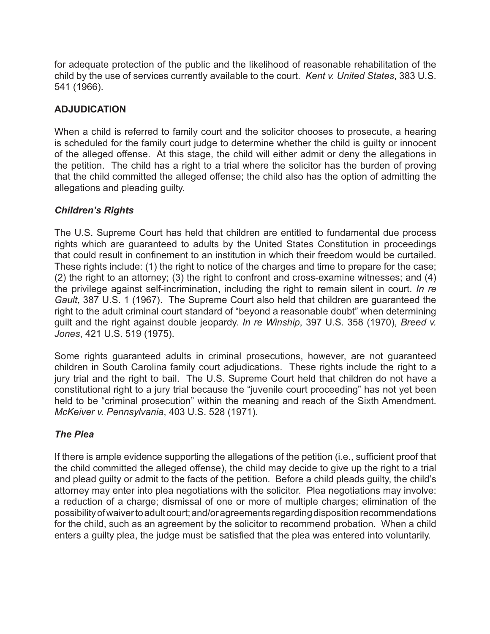for adequate protection of the public and the likelihood of reasonable rehabilitation of the child by the use of services currently available to the court. *Kent v. United States*, 383 U.S. 541 (1966).

# **ADJUDICATION**

When a child is referred to family court and the solicitor chooses to prosecute, a hearing is scheduled for the family court judge to determine whether the child is guilty or innocent of the alleged offense. At this stage, the child will either admit or deny the allegations in the petition. The child has a right to a trial where the solicitor has the burden of proving that the child committed the alleged offense; the child also has the option of admitting the allegations and pleading guilty.

# *Children's Rights*

The U.S. Supreme Court has held that children are entitled to fundamental due process rights which are guaranteed to adults by the United States Constitution in proceedings that could result in confinement to an institution in which their freedom would be curtailed. These rights include: (1) the right to notice of the charges and time to prepare for the case; (2) the right to an attorney; (3) the right to confront and cross-examine witnesses; and (4) the privilege against self-incrimination, including the right to remain silent in court. *In re Gault*, 387 U.S. 1 (1967). The Supreme Court also held that children are guaranteed the right to the adult criminal court standard of "beyond a reasonable doubt" when determining guilt and the right against double jeopardy. *In re Winship*, 397 U.S. 358 (1970), *Breed v. Jones*, 421 U.S. 519 (1975).

Some rights guaranteed adults in criminal prosecutions, however, are not guaranteed children in South Carolina family court adjudications. These rights include the right to a jury trial and the right to bail. The U.S. Supreme Court held that children do not have a constitutional right to a jury trial because the "juvenile court proceeding" has not yet been held to be "criminal prosecution" within the meaning and reach of the Sixth Amendment. *McKeiver v. Pennsylvania*, 403 U.S. 528 (1971).

# *The Plea*

If there is ample evidence supporting the allegations of the petition (i.e., sufficient proof that the child committed the alleged offense), the child may decide to give up the right to a trial and plead guilty or admit to the facts of the petition. Before a child pleads guilty, the child's attorney may enter into plea negotiations with the solicitor. Plea negotiations may involve: a reduction of a charge; dismissal of one or more of multiple charges; elimination of the possibility of waiver to adult court; and/or agreements regarding disposition recommendations for the child, such as an agreement by the solicitor to recommend probation. When a child enters a guilty plea, the judge must be satisfied that the plea was entered into voluntarily.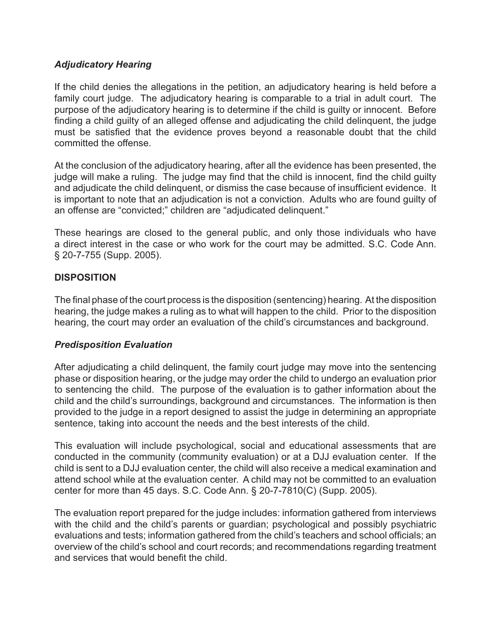### *Adjudicatory Hearing*

If the child denies the allegations in the petition, an adjudicatory hearing is held before a family court judge. The adjudicatory hearing is comparable to a trial in adult court. The purpose of the adjudicatory hearing is to determine if the child is guilty or innocent. Before finding a child guilty of an alleged offense and adjudicating the child delinquent, the judge must be satisfied that the evidence proves beyond a reasonable doubt that the child committed the offense.

At the conclusion of the adjudicatory hearing, after all the evidence has been presented, the judge will make a ruling. The judge may find that the child is innocent, find the child guilty and adjudicate the child delinquent, or dismiss the case because of insufficient evidence. It is important to note that an adjudication is not a conviction. Adults who are found guilty of an offense are "convicted;" children are "adjudicated delinquent."

These hearings are closed to the general public, and only those individuals who have a direct interest in the case or who work for the court may be admitted. S.C. Code Ann. § 20-7-755 (Supp. 2005).

### **DISPOSITION**

The final phase of the court process is the disposition (sentencing) hearing. At the disposition hearing, the judge makes a ruling as to what will happen to the child. Prior to the disposition hearing, the court may order an evaluation of the child's circumstances and background.

## *Predisposition Evaluation*

After adjudicating a child delinquent, the family court judge may move into the sentencing phase or disposition hearing, or the judge may order the child to undergo an evaluation prior to sentencing the child. The purpose of the evaluation is to gather information about the child and the child's surroundings, background and circumstances. The information is then provided to the judge in a report designed to assist the judge in determining an appropriate sentence, taking into account the needs and the best interests of the child.

This evaluation will include psychological, social and educational assessments that are conducted in the community (community evaluation) or at a DJJ evaluation center. If the child is sent to a DJJ evaluation center, the child will also receive a medical examination and attend school while at the evaluation center. A child may not be committed to an evaluation center for more than 45 days. S.C. Code Ann. § 20-7-7810(C) (Supp. 2005).

The evaluation report prepared for the judge includes: information gathered from interviews with the child and the child's parents or guardian; psychological and possibly psychiatric evaluations and tests; information gathered from the child's teachers and school officials; an overview of the child's school and court records; and recommendations regarding treatment and services that would benefit the child.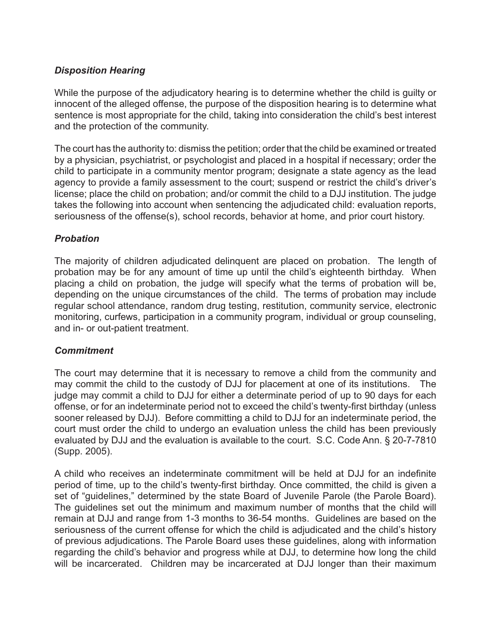## *Disposition Hearing*

While the purpose of the adjudicatory hearing is to determine whether the child is guilty or innocent of the alleged offense, the purpose of the disposition hearing is to determine what sentence is most appropriate for the child, taking into consideration the child's best interest and the protection of the community.

The court has the authority to: dismiss the petition; order that the child be examined or treated by a physician, psychiatrist, or psychologist and placed in a hospital if necessary; order the child to participate in a community mentor program; designate a state agency as the lead agency to provide a family assessment to the court; suspend or restrict the child's driver's license; place the child on probation; and/or commit the child to a DJJ institution. The judge takes the following into account when sentencing the adjudicated child: evaluation reports, seriousness of the offense(s), school records, behavior at home, and prior court history.

## *Probation*

The majority of children adjudicated delinquent are placed on probation. The length of probation may be for any amount of time up until the child's eighteenth birthday. When placing a child on probation, the judge will specify what the terms of probation will be, depending on the unique circumstances of the child. The terms of probation may include regular school attendance, random drug testing, restitution, community service, electronic monitoring, curfews, participation in a community program, individual or group counseling, and in- or out-patient treatment.

#### *Commitment*

The court may determine that it is necessary to remove a child from the community and may commit the child to the custody of DJJ for placement at one of its institutions. The judge may commit a child to DJJ for either a determinate period of up to 90 days for each offense, or for an indeterminate period not to exceed the child's twenty-first birthday (unless sooner released by DJJ). Before committing a child to DJJ for an indeterminate period, the court must order the child to undergo an evaluation unless the child has been previously evaluated by DJJ and the evaluation is available to the court. S.C. Code Ann. § 20-7-7810 (Supp. 2005).

A child who receives an indeterminate commitment will be held at DJJ for an indefinite period of time, up to the child's twenty-first birthday. Once committed, the child is given a set of "guidelines," determined by the state Board of Juvenile Parole (the Parole Board). The guidelines set out the minimum and maximum number of months that the child will remain at DJJ and range from 1-3 months to 36-54 months. Guidelines are based on the seriousness of the current offense for which the child is adjudicated and the child's history of previous adjudications. The Parole Board uses these guidelines, along with information regarding the child's behavior and progress while at DJJ, to determine how long the child will be incarcerated. Children may be incarcerated at DJJ longer than their maximum